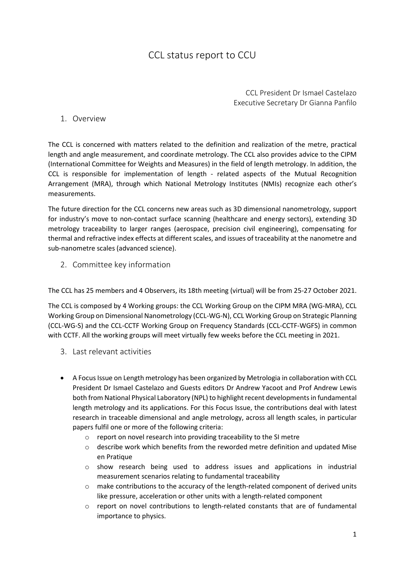## CCL status report to CCU

CCL President Dr Ismael Castelazo Executive Secretary Dr Gianna Panfilo

## 1. Overview

The CCL is concerned with matters related to the definition and realization of the metre, practical length and angle measurement, and coordinate metrology. The CCL also provides advice to the CIPM (International Committee for Weights and Measures) in the field of length metrology. In addition, the CCL is responsible for implementation of length - related aspects of the Mutual Recognition Arrangement (MRA), through which National Metrology Institutes (NMIs) recognize each other's measurements.

The future direction for the CCL concerns new areas such as 3D dimensional nanometrology, support for industry's move to non-contact surface scanning (healthcare and energy sectors), extending 3D metrology traceability to larger ranges (aerospace, precision civil engineering), compensating for thermal and refractive index effects at different scales, and issues of traceability at the nanometre and sub-nanometre scales (advanced science).

2. Committee key information

The CCL has 25 members and 4 Observers, its 18th meeting (virtual) will be from 25-27 October 2021.

The CCL is composed by 4 Working groups: the CCL Working Group on the CIPM MRA (WG-MRA), CCL Working Group on Dimensional Nanometrology (CCL-WG-N), CCL Working Group on Strategic Planning (CCL-WG-S) and the CCL-CCTF Working Group on Frequency Standards (CCL-CCTF-WGFS) in common with CCTF. All the working groups will meet virtually few weeks before the CCL meeting in 2021.

- 3. Last relevant activities
- A Focus Issue on Length metrology has been organized by Metrologia in collaboration with CCL President Dr Ismael Castelazo and Guests editors Dr Andrew Yacoot and Prof Andrew Lewis both from National Physical Laboratory (NPL) to highlight recent developments in fundamental length metrology and its applications. For this Focus Issue, the contributions deal with latest research in traceable dimensional and angle metrology, across all length scales, in particular papers fulfil one or more of the following criteria:
	- o report on novel research into providing traceability to the SI metre
	- o describe work which benefits from the reworded metre definition and updated Mise en Pratique
	- o show research being used to address issues and applications in industrial measurement scenarios relating to fundamental traceability
	- $\circ$  make contributions to the accuracy of the length-related component of derived units like pressure, acceleration or other units with a length-related component
	- $\circ$  report on novel contributions to length-related constants that are of fundamental importance to physics.